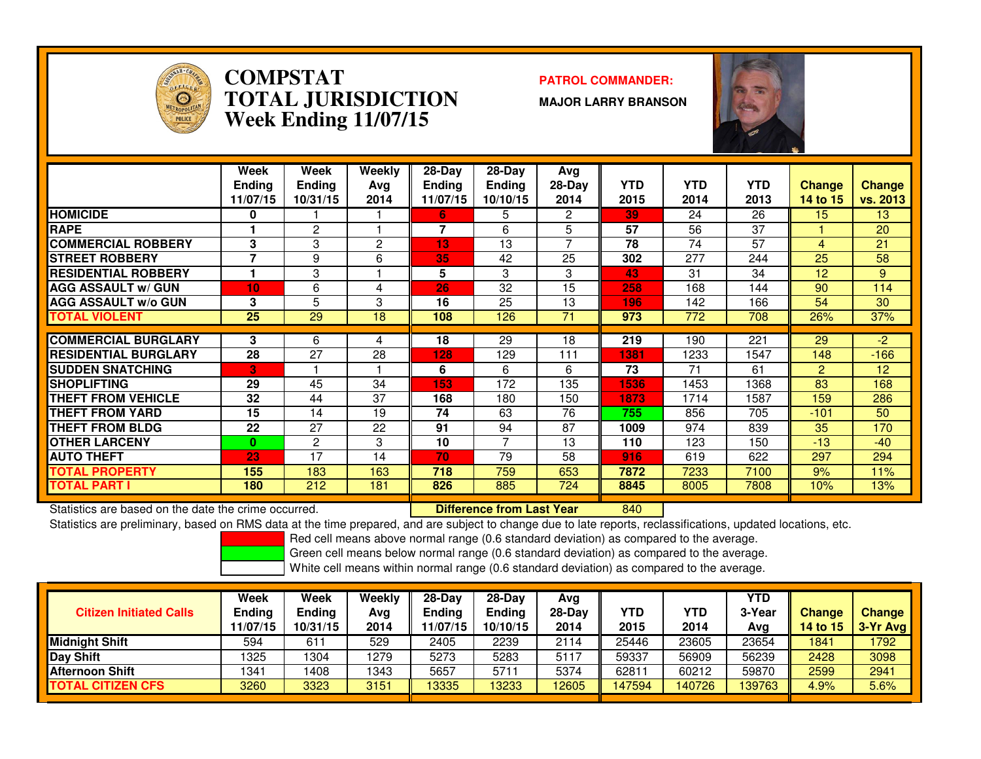

### **COMPSTAT PATROL COMMANDER: TOTAL JURISDICTIONWeek Ending 11/07/15**

**MAJOR LARRY BRANSON**



|                             | Week<br><b>Ending</b><br>11/07/15 | Week<br>Ending<br>10/31/15 | Weekly<br>Ava<br>2014 | $28$ -Day<br><b>Ending</b><br>11/07/15 | $28-Day$<br><b>Ending</b><br>10/10/15 | Avg<br>$28-Day$<br>2014 | <b>YTD</b><br>2015 | <b>YTD</b><br>2014 | <b>YTD</b><br>2013 | <b>Change</b><br>14 to 15 | <b>Change</b><br>vs. 2013 |
|-----------------------------|-----------------------------------|----------------------------|-----------------------|----------------------------------------|---------------------------------------|-------------------------|--------------------|--------------------|--------------------|---------------------------|---------------------------|
| <b>HOMICIDE</b>             | 0                                 |                            |                       | 6                                      | 5                                     | 2                       | 39                 | 24                 | 26                 | 15 <sub>1</sub>           | 13                        |
| <b>RAPE</b>                 |                                   | 2                          |                       | 7                                      | 6                                     | 5                       | 57                 | 56                 | 37                 |                           | 20                        |
| <b>COMMERCIAL ROBBERY</b>   | 3                                 | 3                          | 2                     | 13                                     | 13                                    | 7                       | 78                 | 74                 | 57                 | 4                         | 21                        |
| <b>STREET ROBBERY</b>       | 7                                 | 9                          | 6                     | 35                                     | 42                                    | 25                      | 302                | 277                | 244                | 25                        | 58                        |
| <b>RESIDENTIAL ROBBERY</b>  |                                   | 3                          |                       | 5                                      | 3                                     | 3                       | 43                 | 31                 | 34                 | 12                        | 9                         |
| <b>AGG ASSAULT W/ GUN</b>   | 10                                | 6                          | 4                     | 26                                     | 32                                    | 15                      | 258                | 168                | 144                | 90                        | 114                       |
| <b>AGG ASSAULT w/o GUN</b>  | 3                                 | 5                          | 3                     | 16                                     | 25                                    | 13                      | 196                | 142                | 166                | 54                        | 30                        |
| <b>TOTAL VIOLENT</b>        | 25                                | 29                         | 18                    | 108                                    | 126                                   | 71                      | 973                | 772                | 708                | 26%                       | 37%                       |
|                             |                                   |                            |                       |                                        |                                       |                         |                    |                    |                    |                           |                           |
| <b>COMMERCIAL BURGLARY</b>  | 3                                 | 6                          | 4                     | 18                                     | 29                                    | 18                      | 219                | 190                | 221                | 29                        | -2                        |
| <b>RESIDENTIAL BURGLARY</b> | 28                                | 27                         | 28                    | 128                                    | 129                                   | 111                     | 1381               | 1233               | 1547               | 148                       | $-166$                    |
| <b>SUDDEN SNATCHING</b>     | 3                                 |                            |                       | 6                                      | 6                                     | 6                       | 73                 | 71                 | 61                 | $\overline{2}$            | 12                        |
| <b>SHOPLIFTING</b>          | 29                                | 45                         | 34                    | 153                                    | 172                                   | 135                     | 1536               | 1453               | 1368               | 83                        | 168                       |
| THEFT FROM VEHICLE          | 32                                | 44                         | 37                    | 168                                    | 180                                   | 150                     | 1873               | 1714               | 1587               | 159                       | 286                       |
| <b>THEFT FROM YARD</b>      | 15                                | 14                         | 19                    | 74                                     | 63                                    | 76                      | 755                | 856                | 705                | $-101$                    | 50                        |
| THEFT FROM BLDG             | 22                                | 27                         | 22                    | 91                                     | 94                                    | 87                      | 1009               | 974                | 839                | 35                        | 170                       |
| <b>OTHER LARCENY</b>        | $\bf{0}$                          | 2                          | 3                     | 10                                     | 7                                     | 13                      | 110                | 123                | 150                | $-13$                     | $-40$                     |
| <b>AUTO THEFT</b>           | 23                                | 17                         | 14                    | 70                                     | 79                                    | 58                      | 916                | 619                | 622                | 297                       | 294                       |
| TOTAL PROPERTY              | 155                               | 183                        | 163                   | 718                                    | 759                                   | 653                     | 7872               | 7233               | 7100               | 9%                        | 11%                       |
| <b>TOTAL PART I</b>         | 180                               | 212                        | 181                   | 826                                    | 885                                   | 724                     | 8845               | 8005               | 7808               | 10%                       | 13%                       |

Statistics are based on the date the crime occurred. **Difference from Last Year** 

Statistics are based on the date the crime occurred. **Interpree the Supersed Conference from Last Year North Ado**<br>Statistics are preliminary, based on RMS data at the time prepared, and are subject to change due to late re

Red cell means above normal range (0.6 standard deviation) as compared to the average.

Green cell means below normal range (0.6 standard deviation) as compared to the average.

| <b>Citizen Initiated Calls</b> | Week<br>Ending<br>11/07/15 | <b>Week</b><br>Ending<br>10/31/15 | Weekly<br>Ava<br>2014 | $28-Dav$<br>Endina<br>11/07/15 | $28-Day$<br><b>Ending</b><br>10/10/15 | Avg<br>$28-Day$<br>2014 | YTD<br>2015 | YTD<br>2014 | <b>YTD</b><br>3-Year<br>Avg | <b>Change</b><br>14 to $15$ | <b>Change</b><br>$3-Yr$ Avg |
|--------------------------------|----------------------------|-----------------------------------|-----------------------|--------------------------------|---------------------------------------|-------------------------|-------------|-------------|-----------------------------|-----------------------------|-----------------------------|
| Midniaht Shift                 | 594                        | 611                               | 529                   | 2405                           | 2239                                  | 2114                    | 25446       | 23605       | 23654                       | 1841                        | 792                         |
| <b>Day Shift</b>               | '325                       | 1304                              | 1279                  | 5273                           | 5283                                  | 5117                    | 59337       | 56909       | 56239                       | 2428                        | 3098                        |
| <b>Afternoon Shift</b>         | 1341                       | 1408                              | 1343                  | 5657                           | 5711                                  | 5374                    | 62811       | 60212       | 59870                       | 2599                        | 2941                        |
| <b>TOTAL CITIZEN CFS</b>       | 3260                       | 3323                              | 3151                  | 13335                          | 13233                                 | 12605                   | 147594      | 140726      | 139763                      | 4.9%                        | 5.6%                        |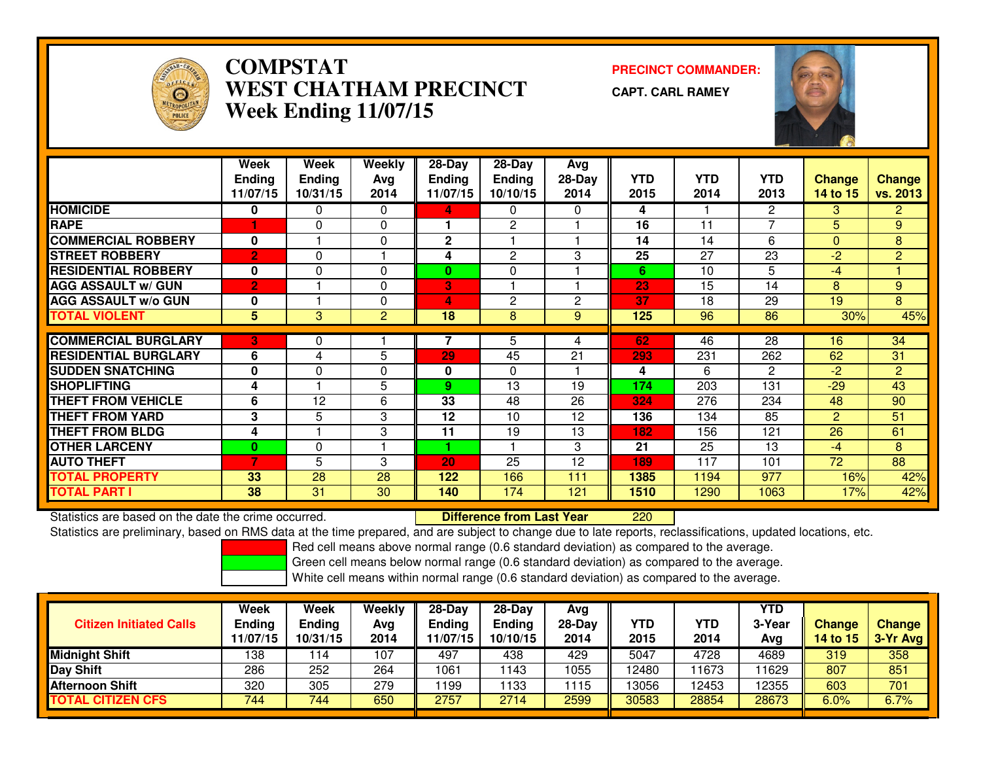

## **COMPSTAT PRECINCT COMMANDER: WEST CHATHAM PRECINCTWeek Ending 11/07/15**

**CAPT. CARL RAMEY**



|                             | Week           | Week          | <b>Weekly</b>  | $28-Day$      | 28-Day       | Avg      |      |            |                |                |                 |
|-----------------------------|----------------|---------------|----------------|---------------|--------------|----------|------|------------|----------------|----------------|-----------------|
|                             | <b>Ending</b>  | <b>Ending</b> | Avg            | <b>Ending</b> | Ending       | $28-Day$ | YTD. | <b>YTD</b> | YTD.           | Change         | <b>Change</b>   |
|                             | 11/07/15       | 10/31/15      | 2014           | 11/07/15      | 10/10/15     | 2014     | 2015 | 2014       | 2013           | 14 to 15       | <b>vs. 2013</b> |
| <b>HOMICIDE</b>             | 0              | 0             | $\Omega$       | 4             | 0            | 0        | 4    |            | $\mathbf{2}$   | 3              | 2 <sup>1</sup>  |
| <b>RAPE</b>                 |                | $\Omega$      | $\Omega$       |               | $\mathbf{2}$ |          | 16   | 11         | $\overline{ }$ | 5              | 9               |
| <b>COMMERCIAL ROBBERY</b>   | 0              |               | $\Omega$       | $\mathbf{2}$  |              |          | 14   | 14         | 6              | $\Omega$       | 8               |
| <b>STREET ROBBERY</b>       | $\overline{2}$ | 0             |                | 4             | 2            | 3        | 25   | 27         | 23             | $-2$           | $\overline{2}$  |
| <b>RESIDENTIAL ROBBERY</b>  | 0              | $\Omega$      | $\Omega$       | $\bf{0}$      | $\Omega$     |          | 6    | 10         | 5              | $-4$           |                 |
| <b>AGG ASSAULT w/ GUN</b>   | $\overline{2}$ |               | $\Omega$       | 3             |              |          | 23   | 15         | 14             | 8              | 9               |
| <b>AGG ASSAULT w/o GUN</b>  | 0              |               | $\Omega$       | 4             | $\mathbf{2}$ | 2        | 37   | 18         | 29             | 19             | 8               |
| <b>TOTAL VIOLENT</b>        | 5              | 3             | $\overline{2}$ | 18            | 8            | 9        | 125  | 96         | 86             | 30%            | 45%             |
|                             |                |               |                |               |              |          |      |            |                |                |                 |
| <b>COMMERCIAL BURGLARY</b>  | 3              | 0             |                | 7             | 5            | 4        | 62   | 46         | 28             | 16             | 34              |
| <b>RESIDENTIAL BURGLARY</b> | 6              | 4             | 5              | 29            | 45           | 21       | 293  | 231        | 262            | 62             | 31              |
| <b>SUDDEN SNATCHING</b>     | 0              | $\Omega$      | $\Omega$       | 0             | $\Omega$     |          | 4    | 6          | $\mathbf{2}$   | $-2$           | $\overline{2}$  |
| <b>SHOPLIFTING</b>          | 4              |               | 5              | 9.            | 13           | 19       | 174  | 203        | 131            | $-29$          | 43              |
| <b>THEFT FROM VEHICLE</b>   | 6              | 12            | 6              | 33            | 48           | 26       | 324  | 276        | 234            | 48             | 90              |
| <b>THEFT FROM YARD</b>      | 3              | 5             | 3              | 12            | 10           | 12       | 136  | 134        | 85             | $\overline{2}$ | 51              |
| <b>THEFT FROM BLDG</b>      | 4              |               | 3              | 11            | 19           | 13       | 182  | 156        | 121            | 26             | 61              |
| <b>OTHER LARCENY</b>        | 0              | 0             |                |               |              | 3        | 21   | 25         | 13             | $-4$           | 8               |
| <b>AUTO THEFT</b>           | $\overline{7}$ | 5             | 3              | 20            | 25           | 12       | 189  | 117        | 101            | 72             | 88              |
| <b>TOTAL PROPERTY</b>       | 33             | 28            | 28             | 122           | 166          | 111      | 1385 | 1194       | 977            | 16%            | 42%             |
| <b>TOTAL PART I</b>         | 38             | 31            | 30             | 140           | 174          | 121      | 1510 | 1290       | 1063           | 17%            | 42%             |

Statistics are based on the date the crime occurred. **Difference from Last Year**  <sup>220</sup>Statistics are preliminary, based on RMS data at the time prepared, and are subject to change due to late reports, reclassifications, updated locations, etc.

Red cell means above normal range (0.6 standard deviation) as compared to the average.

Green cell means below normal range (0.6 standard deviation) as compared to the average.

| <b>Citizen Initiated Calls</b> | Week<br><b>Ending</b><br>11/07/15 | Week<br><b>Ending</b><br>10/31/15 | Weekly<br>Avg<br>2014 | $28-Dav$<br>Ending<br>11/07/15 | 28-Day<br><b>Ending</b><br>10/10/15 | Avg<br>$28$ -Day<br>2014 | YTD<br>2015 | YTD<br>2014 | YTD<br>3-Year<br>Avg | Change<br>14 to 15 | <b>Change</b><br>$3-Yr$ Avg |
|--------------------------------|-----------------------------------|-----------------------------------|-----------------------|--------------------------------|-------------------------------------|--------------------------|-------------|-------------|----------------------|--------------------|-----------------------------|
| <b>Midnight Shift</b>          | 138                               | 14                                | 107                   | 497                            | 438                                 | 429                      | 5047        | 4728        | 4689                 | 319                | 358                         |
| <b>Day Shift</b>               | 286                               | 252                               | 264                   | 1061                           | '143                                | 1055                     | 12480       | 1673        | 1629                 | 807                | 851                         |
| Afternoon Shift                | 320                               | 305                               | 279                   | 199                            | 133                                 | 1115                     | 13056       | 12453       | 12355                | 603                | 701                         |
| <b>TOTAL CITIZEN CFS</b>       | 744                               | 744                               | 650                   | 2757                           | 2714                                | 2599                     | 30583       | 28854       | 28673                | $6.0\%$            | 6.7%                        |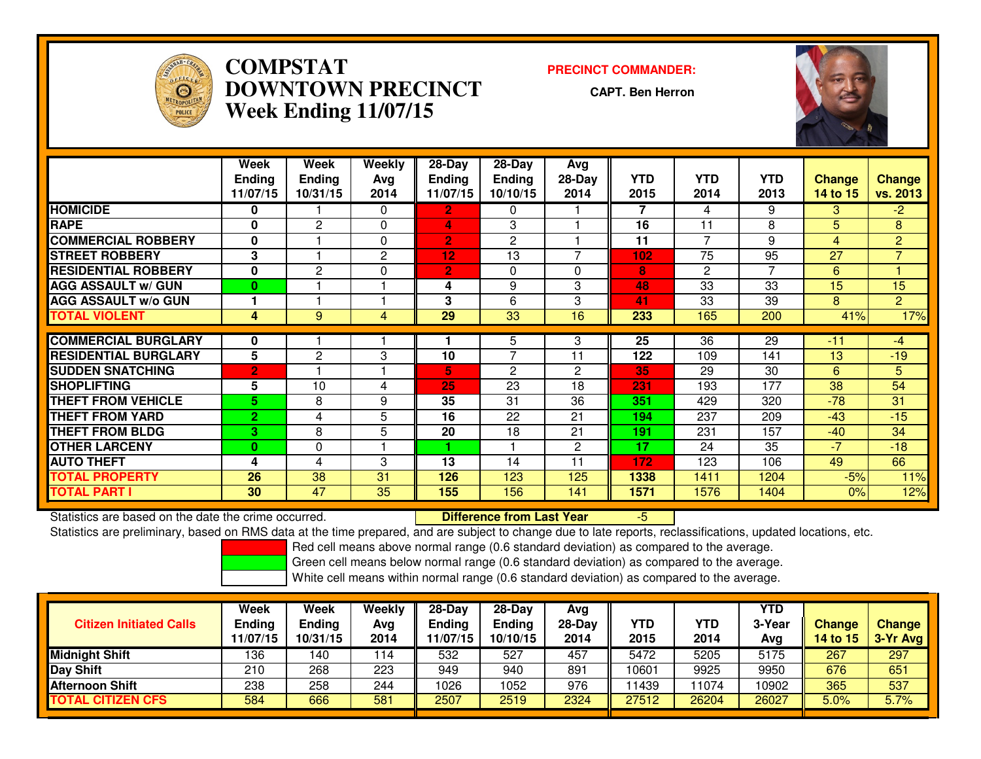

## **COMPSTAT PRECINCT COMMANDER: DOWNTOWN PRECINCTWeek Ending 11/07/15**

**CAPT. Ben Herron**



|                             | Week           | Week          | <b>Weekly</b>  | 28-Day          | 28-Day         | <b>Avg</b>   |      |                |            |               |                |
|-----------------------------|----------------|---------------|----------------|-----------------|----------------|--------------|------|----------------|------------|---------------|----------------|
|                             | <b>Endina</b>  | <b>Ending</b> | Avg            | <b>Ending</b>   | <b>Ending</b>  | 28-Day       | YTD  | <b>YTD</b>     | <b>YTD</b> | <b>Change</b> | <b>Change</b>  |
|                             | 11/07/15       | 10/31/15      | 2014           | 11/07/15        | 10/10/15       | 2014         | 2015 | 2014           | 2013       | 14 to 15      | vs. 2013       |
| <b>HOMICIDE</b>             | 0              |               | $\Omega$       | $\overline{2}$  | 0              |              | 7    | 4              | 9          | 3.            | $-2$           |
| <b>RAPE</b>                 | 0              | 2             | $\Omega$       | 4               | 3              |              | 16   | 11             | 8          | 5             | 8              |
| <b>COMMERCIAL ROBBERY</b>   | $\mathbf 0$    |               | $\Omega$       | $\overline{2}$  | 2              |              | 11   | $\overline{ }$ | 9          | 4             | $\overline{2}$ |
| <b>ISTREET ROBBERY</b>      | 3              |               | $\overline{2}$ | 12 <sub>2</sub> | 13             |              | 102  | 75             | 95         | 27            | $\overline{7}$ |
| <b>RESIDENTIAL ROBBERY</b>  | $\mathbf 0$    | 2             | $\Omega$       | $\overline{2}$  | $\Omega$       | $\Omega$     | 8    | $\overline{2}$ | 7          | 6             |                |
| <b>AGG ASSAULT w/ GUN</b>   | $\bf{0}$       |               |                | 4               | 9              | 3            | 48   | 33             | 33         | 15            | 15             |
| <b>AGG ASSAULT w/o GUN</b>  |                |               |                | 3               | 6              | 3            | 41   | 33             | 39         | 8             | $\overline{2}$ |
| <b>TOTAL VIOLENT</b>        | 4              | 9             | 4              | 29              | 33             | 16           | 233  | 165            | 200        | 41%           | 17%            |
| <b>COMMERCIAL BURGLARY</b>  | $\bf{0}$       |               |                |                 | 5              | 3            | 25   | 36             | 29         | $-11$         | -4             |
|                             |                |               |                |                 | $\overline{7}$ |              |      |                |            |               |                |
| <b>RESIDENTIAL BURGLARY</b> | 5              | 2             | 3              | 10              |                | 11           | 122  | 109            | 141        | 13            | $-19$          |
| <b>SUDDEN SNATCHING</b>     | $\overline{2}$ |               |                | 5.              | $\mathbf{2}$   | $\mathbf{2}$ | 35   | 29             | 30         | 6             | 5              |
| <b>SHOPLIFTING</b>          | 5              | 10            | 4              | 25              | 23             | 18           | 231  | 193            | 177        | 38            | 54             |
| <b>THEFT FROM VEHICLE</b>   | 5.             | 8             | 9              | 35              | 31             | 36           | 351  | 429            | 320        | $-78$         | 31             |
| <b>THEFT FROM YARD</b>      | $\mathbf{2}$   | 4             | 5              | 16              | 22             | 21           | 194  | 237            | 209        | $-43$         | $-15$          |
| <b>THEFT FROM BLDG</b>      | 3              | 8             | 5              | 20              | 18             | 21           | 191  | 231            | 157        | $-40$         | 34             |
| <b>OTHER LARCENY</b>        | $\bf{0}$       | 0             |                |                 |                | $\mathbf{2}$ | 17   | 24             | 35         | $-7$          | $-18$          |
| <b>AUTO THEFT</b>           | 4              | 4             | 3              | 13              | 14             | 11           | 172  | 123            | 106        | 49            | 66             |
| <b>TOTAL PROPERTY</b>       | 26             | 38            | 31             | 126             | 123            | 125          | 1338 | 1411           | 1204       | $-5%$         | 11%            |
| <b>TOTAL PART I</b>         | 30             | 47            | 35             | 155             | 156            | 141          | 1571 | 1576           | 1404       | 0%            | 12%            |

Statistics are based on the date the crime occurred. **Difference from Last Year**  -5Statistics are preliminary, based on RMS data at the time prepared, and are subject to change due to late reports, reclassifications, updated locations, etc.

Red cell means above normal range (0.6 standard deviation) as compared to the average.

Green cell means below normal range (0.6 standard deviation) as compared to the average.

| <b>Citizen Initiated Calls</b> | Week<br><b>Ending</b><br>11/07/15 | Week<br><b>Ending</b><br>10/31/15 | Weekly<br>Avg<br>2014 | $28-Dav$<br>Ending<br>11/07/15 | 28-Day<br><b>Ending</b><br>10/10/15 | Avg<br>$28$ -Day<br>2014 | YTD<br>2015 | YTD<br>2014 | YTD<br>3-Year<br>Avg | Change<br>14 to 15 | <b>Change</b><br>$3-Yr$ Avg |
|--------------------------------|-----------------------------------|-----------------------------------|-----------------------|--------------------------------|-------------------------------------|--------------------------|-------------|-------------|----------------------|--------------------|-----------------------------|
| <b>Midnight Shift</b>          | 136                               | 140                               | 114                   | 532                            | 527                                 | 457                      | 5472        | 5205        | 5175                 | 267                | 297                         |
| <b>Day Shift</b>               | 210                               | 268                               | 223                   | 949                            | 940                                 | 891                      | 10601       | 9925        | 9950                 | 676                | 651                         |
| Afternoon Shift                | 238                               | 258                               | 244                   | 1026                           | 052                                 | 976                      | 11439       | 1074        | 10902                | 365                | 537                         |
| <b>TOTAL CITIZEN CFS</b>       | 584                               | 666                               | 581                   | 2507                           | 2519                                | 2324                     | 27512       | 26204       | 26027                | $5.0\%$            | 5.7%                        |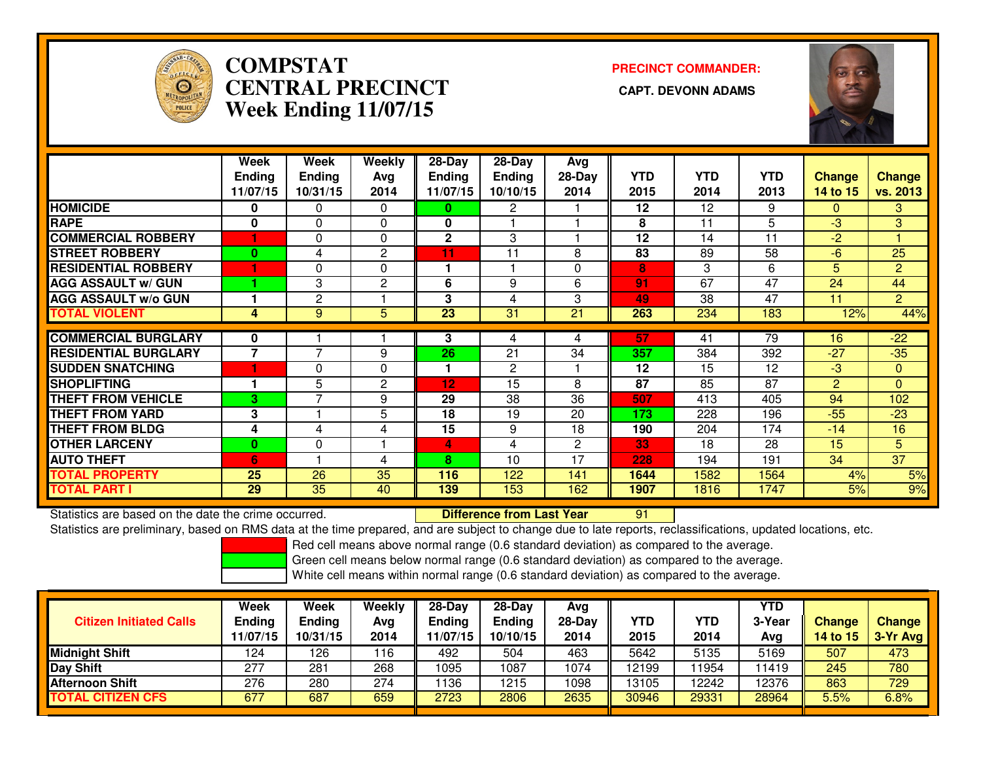

# **COMPSTATCENTRAL PRECINCT Week Ending 11/07/15**

**PRECINCT COMMANDER:**



|                             | Week           | Week           | Weekly         | 28-Day        | 28-Day        | Avg          |            |            |                 |                |                 |
|-----------------------------|----------------|----------------|----------------|---------------|---------------|--------------|------------|------------|-----------------|----------------|-----------------|
|                             | <b>Ending</b>  | <b>Ending</b>  | Avg            | <b>Ending</b> | <b>Ending</b> | $28-Day$     | <b>YTD</b> | <b>YTD</b> | <b>YTD</b>      | <b>Change</b>  | <b>Change</b>   |
|                             | 11/07/15       | 10/31/15       | 2014           | 11/07/15      | 10/10/15      | 2014         | 2015       | 2014       | 2013            | 14 to 15       | vs. 2013        |
| <b>HOMICIDE</b>             | 0              | 0              | $\Omega$       | 0             | 2             |              | 12         | 12         | 9               | $\Omega$       | 3               |
| <b>RAPE</b>                 | 0              | $\Omega$       | 0              | 0             |               |              | 8          | 11         | 5               | $-3$           | 3               |
| <b>COMMERCIAL ROBBERY</b>   | 1              | $\Omega$       | 0              | 2             | 3             |              | 12         | 14         | 11              | $-2$           |                 |
| <b>ISTREET ROBBERY</b>      | 0              | 4              | $\overline{2}$ | 11            | 11            | 8            | 83         | 89         | 58              | -6             | 25              |
| <b>RESIDENTIAL ROBBERY</b>  | 1              | 0              | $\Omega$       | 1             |               | 0            | 8          | 3          | 6               | 5              | $\overline{2}$  |
| <b>AGG ASSAULT w/ GUN</b>   |                | 3              | $\mathbf{2}$   | 6             | 9             | 6            | 91         | 67         | 47              | 24             | 44              |
| <b>AGG ASSAULT w/o GUN</b>  |                | $\mathbf{2}$   |                | 3             | 4             | 3            | 49         | 38         | $\overline{47}$ | 11             | $\overline{2}$  |
| <b>TOTAL VIOLENT</b>        | 4              | 9              | 5              | 23            | 31            | 21           | 263        | 234        | 183             | 12%            | 44%             |
| <b>COMMERCIAL BURGLARY</b>  | 0              |                |                | 3             | 4             | 4            | 57         | 41         | 79              | 16             | $-22$           |
| <b>RESIDENTIAL BURGLARY</b> | $\overline{7}$ | $\overline{ }$ | 9              | 26            | 21            | 34           | 357        | 384        | 392             | $-27$          | $-35$           |
| <b>SUDDEN SNATCHING</b>     | 1              | $\Omega$       | $\Omega$       | 1             | 2             |              | 12         | 15         | 12              | $-3$           | $\mathbf{0}$    |
| <b>SHOPLIFTING</b>          |                | 5              | $\overline{2}$ | 12            | 15            | 8            | 87         | 85         | 87              | $\overline{2}$ | $\Omega$        |
| <b>THEFT FROM VEHICLE</b>   | 3              | $\overline{ }$ | 9              | 29            | 38            | 36           | 507        | 413        | 405             | 94             | 102             |
| <b>THEFT FROM YARD</b>      | 3              |                | 5              | 18            | 19            | 20           | 173        | 228        | 196             | $-55$          | $-23$           |
| <b>THEFT FROM BLDG</b>      | 4              | 4              | 4              | 15            | 9             | 18           | 190        | 204        | 174             | $-14$          | 16              |
| <b>OTHER LARCENY</b>        | $\bf{0}$       | $\Omega$       |                | 4             | 4             | $\mathbf{2}$ | 33         | 18         | 28              | 15             | 5               |
| <b>AUTO THEFT</b>           | 6              |                | 4              | 8             | 10            | 17           | 228        | 194        | 191             | 34             | $\overline{37}$ |
| <b>TOTAL PROPERTY</b>       | 25             | 26             | 35             | 116           | 122           | 141          | 1644       | 1582       | 1564            | 4%             | 5%              |
| <b>TOTAL PART I</b>         | 29             | 35             | 40             | 139           | 153           | 162          | 1907       | 1816       | 1747            | 5%             | 9%              |

Statistics are based on the date the crime occurred. **Difference from Last Year** 

Statistics are based on the date the crime occurred.<br>Statistics are preliminary, based on RMS data at the time prepared, and are subject to change due to late reports, reclassifications, updated locations, etc.

Red cell means above normal range (0.6 standard deviation) as compared to the average.

Green cell means below normal range (0.6 standard deviation) as compared to the average.

| <b>Citizen Initiated Calls</b> | Week<br><b>Ending</b><br>11/07/15 | Week<br><b>Ending</b><br>10/31/15 | Weekly<br>Avg<br>2014 | $28-Dav$<br>Ending<br>1/07/15 | $28-Day$<br><b>Ending</b><br>10/10/15 | Ava<br>$28-Day$<br>2014 | YTD<br>2015 | YTD<br>2014 | YTD<br>3-Year<br>Avg | <b>Change</b><br><b>14 to 15</b> | <b>Change</b><br>3-Yr Avg |
|--------------------------------|-----------------------------------|-----------------------------------|-----------------------|-------------------------------|---------------------------------------|-------------------------|-------------|-------------|----------------------|----------------------------------|---------------------------|
| <b>Midnight Shift</b>          | 124                               | 126                               | 116                   | 492                           | 504                                   | 463                     | 5642        | 5135        | 5169                 | 507                              | 473                       |
| Day Shift                      | 277                               | 281                               | 268                   | 1095                          | 087                                   | 1074                    | 12199       | 1954        | 11419                | 245                              | 780                       |
| <b>Afternoon Shift</b>         | 276                               | 280                               | 274                   | 136                           | 1215                                  | 1098                    | 13105       | 2242        | 12376                | 863                              | 729                       |
| <b>TOTAL CITIZEN CFS</b>       | 677                               | 687                               | 659                   | 2723                          | 2806                                  | 2635                    | 30946       | 29331       | 28964                | 5.5%                             | 6.8%                      |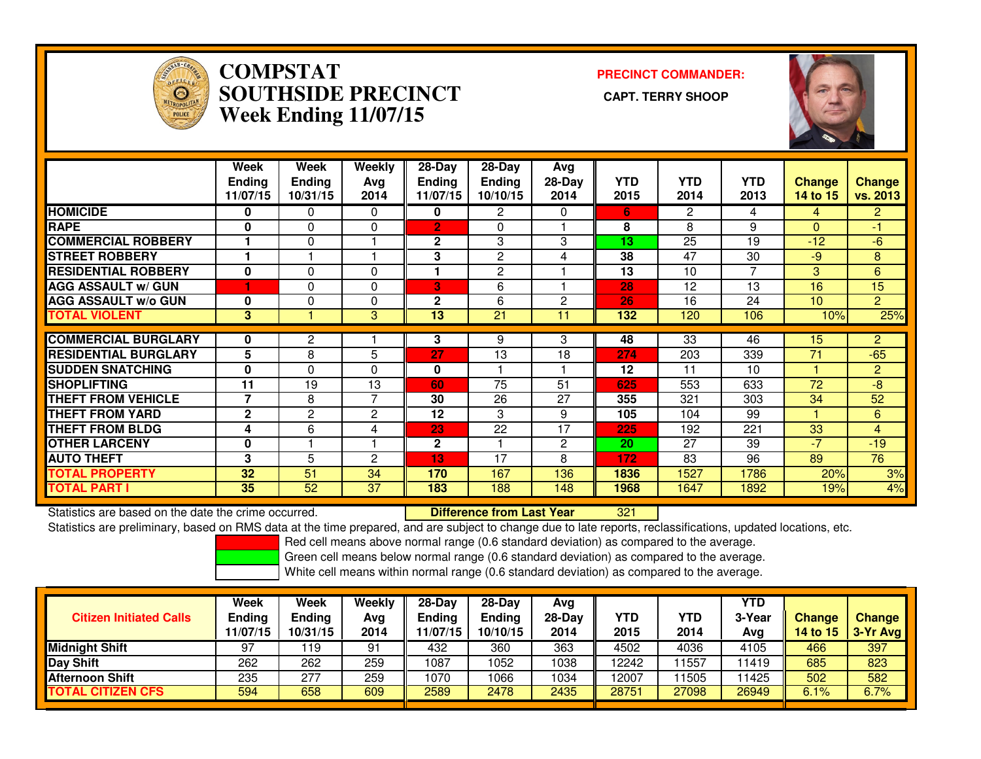

### **COMPSTAT PRECINCT COMMANDER: SOUTHSIDE PRECINCT CAPT. TERRY SHOOPWeek Ending 11/07/15**



|                             | Week<br><b>Ending</b><br>11/07/15 | Week<br><b>Ending</b><br>10/31/15 | Weekly<br>Avg<br>2014 | $28-Day$<br><b>Ending</b><br>11/07/15 | $28-Day$<br><b>Ending</b><br>10/10/15 | Avg<br>$28-Day$<br>2014 | <b>YTD</b><br>2015 | <b>YTD</b><br>2014 | <b>YTD</b><br>2013 | <b>Change</b><br>14 to 15 | <b>Change</b><br>vs. 2013 |
|-----------------------------|-----------------------------------|-----------------------------------|-----------------------|---------------------------------------|---------------------------------------|-------------------------|--------------------|--------------------|--------------------|---------------------------|---------------------------|
| <b>HOMICIDE</b>             | 0                                 | 0                                 | $\Omega$              | 0                                     | 2                                     | 0                       | 6.                 | 2                  | 4                  | 4                         | 2.                        |
| <b>RAPE</b>                 | 0                                 | 0                                 | 0                     | 2'                                    | 0                                     |                         | 8                  | 8                  | 9                  | $\Omega$                  | $-1$                      |
| <b>COMMERCIAL ROBBERY</b>   |                                   | 0                                 |                       | $\mathbf{2}$                          | 3                                     | 3                       | 13                 | 25                 | 19                 | $-12$                     | $-6$                      |
| <b>STREET ROBBERY</b>       |                                   |                                   |                       | 3                                     | $\overline{c}$                        | 4                       | 38                 | 47                 | 30                 | -9                        | 8                         |
| <b>RESIDENTIAL ROBBERY</b>  | $\bf{0}$                          | 0                                 | 0                     |                                       | $\overline{2}$                        |                         | 13                 | 10                 | 7                  | 3                         | 6                         |
| <b>AGG ASSAULT w/ GUN</b>   | 1                                 | 0                                 | $\Omega$              | 3                                     | 6                                     |                         | 28                 | 12                 | 13                 | 16                        | 15                        |
| <b>AGG ASSAULT w/o GUN</b>  | $\bf{0}$                          | 0                                 | 0                     | 2                                     | 6                                     | $\mathbf{2}$            | 26                 | 16                 | 24                 | 10                        | $\overline{2}$            |
| <b>TOTAL VIOLENT</b>        | 3                                 |                                   | 3                     | 13                                    | 21                                    | 11                      | 132                | 120                | 106                | 10%                       | 25%                       |
| <b>COMMERCIAL BURGLARY</b>  | 0                                 | 2                                 |                       | 3                                     |                                       | 3                       | 48                 | 33                 | 46                 | 15                        | $\overline{2}$            |
|                             |                                   |                                   |                       |                                       | 9                                     |                         |                    |                    |                    |                           |                           |
| <b>RESIDENTIAL BURGLARY</b> | 5                                 | 8                                 | 5                     | 27                                    | 13                                    | 18                      | 274                | 203                | 339                | 71                        | $-65$                     |
| <b>SUDDEN SNATCHING</b>     | $\bf{0}$                          | 0                                 | $\Omega$              | 0                                     |                                       |                         | 12                 | 11                 | 10                 |                           | $\overline{2}$            |
| <b>SHOPLIFTING</b>          | 11                                | 19                                | 13                    | 60                                    | 75                                    | 51                      | 625                | 553                | 633                | 72                        | $-8$                      |
| <b>THEFT FROM VEHICLE</b>   | 7                                 | 8                                 | 7                     | 30                                    | 26                                    | 27                      | 355                | 321                | 303                | 34                        | 52                        |
| <b>THEFT FROM YARD</b>      | $\mathbf{2}$                      | 2                                 | 2                     | 12                                    | 3                                     | 9                       | 105                | 104                | 99                 |                           | 6                         |
| <b>THEFT FROM BLDG</b>      | 4                                 | 6                                 | 4                     | 23                                    | 22                                    | 17                      | 225                | 192                | 221                | 33                        | 4                         |
| <b>OTHER LARCENY</b>        | 0                                 |                                   |                       | $\mathbf{2}$                          |                                       | 2                       | 20                 | 27                 | 39                 | $-7$                      | $-19$                     |
| <b>AUTO THEFT</b>           | 3                                 | 5                                 | 2                     | 13                                    | 17                                    | 8                       | 172                | 83                 | 96                 | 89                        | 76                        |
| <b>TOTAL PROPERTY</b>       | 32                                | 51                                | 34                    | 170                                   | 167                                   | 136                     | 1836               | 1527               | 1786               | 20%                       | 3%                        |
| <b>TOTAL PART I</b>         | 35                                | 52                                | 37                    | 183                                   | 188                                   | 148                     | 1968               | 1647               | 1892               | 19%                       | 4%                        |

Statistics are based on the date the crime occurred. **Difference from Last Year** 

<sup>321</sup>

Statistics are preliminary, based on RMS data at the time prepared, and are subject to change due to late reports, reclassifications, updated locations, etc.

Red cell means above normal range (0.6 standard deviation) as compared to the average.

Green cell means below normal range (0.6 standard deviation) as compared to the average.

| <b>Citizen Initiated Calls</b> | <b>Week</b><br><b>Ending</b><br>11/07/15 | <b>Week</b><br><b>Ending</b><br>10/31/15 | Weekly<br>Avg<br>2014 | $28-Dav$<br><b>Ending</b><br>1/07/15 | $28-Dav$<br><b>Ending</b><br>10/10/15 | Ava<br>28-Dav<br>2014 | YTD<br>2015 | YTD<br>2014 | YTD<br>3-Year<br>Ava | <b>Change</b><br><b>14 to 15</b> | <b>Change</b><br>3-Yr Avg |
|--------------------------------|------------------------------------------|------------------------------------------|-----------------------|--------------------------------------|---------------------------------------|-----------------------|-------------|-------------|----------------------|----------------------------------|---------------------------|
| <b>Midnight Shift</b>          | 97                                       | 19 ا                                     | 91                    | 432                                  | 360                                   | 363                   | 4502        | 4036        | 4105                 | 466                              | 397                       |
| <b>Day Shift</b>               | 262                                      | 262                                      | 259                   | 1087                                 | 1052                                  | 1038                  | 12242       | 1557        | 11419                | 685                              | 823                       |
| <b>Afternoon Shift</b>         | 235                                      | 277                                      | 259                   | 1070                                 | 1066                                  | 1034                  | 12007       | 1505        | 11425                | 502                              | 582                       |
| <b>TOTAL CITIZEN CFS</b>       | 594                                      | 658                                      | 609                   | 2589                                 | 2478                                  | 2435                  | 28751       | 27098       | 26949                | 6.1%                             | 6.7%                      |